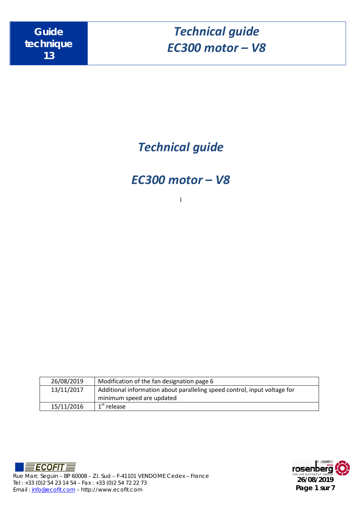*Technical guide*

*EC300 motor – V8*

l

| 26/08/2019 | Modification of the fan designation page 6                                |
|------------|---------------------------------------------------------------------------|
| 13/11/2017 | Additional information about paralleling speed control, input voltage for |
|            | minimum speed are updated                                                 |
| 15/11/2016 | $1st$ release                                                             |



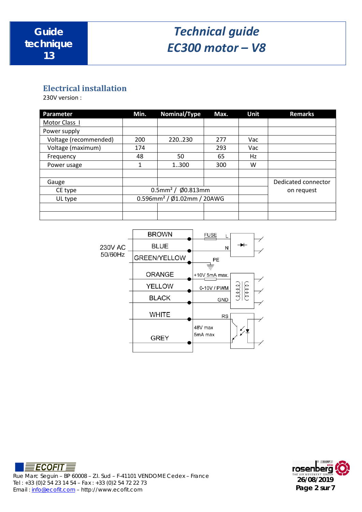## **Electrical installation**

230V version :

| Parameter             | Min.                                      | Nominal/Type                                | Max. | Unit       | <b>Remarks</b>      |
|-----------------------|-------------------------------------------|---------------------------------------------|------|------------|---------------------|
| Motor Class I         |                                           |                                             |      |            |                     |
| Power supply          |                                           |                                             |      |            |                     |
| Voltage (recommended) | 200                                       | 220230                                      | 277  | Vac        |                     |
| Voltage (maximum)     | 174                                       |                                             | 293  | Vac        |                     |
| Frequency             | 48                                        | 50                                          | 65   | Hz         |                     |
| Power usage           | 1                                         | 1.300                                       | 300  | W          |                     |
|                       |                                           |                                             |      |            |                     |
| Gauge                 |                                           |                                             |      |            | Dedicated connector |
| CE type               |                                           | $0.5$ mm <sup>2</sup> / $\emptyset$ 0.813mm |      | on request |                     |
| UL type               | $0.596$ mm <sup>2</sup> / Ø1.02mm / 20AWG |                                             |      |            |                     |
|                       |                                           |                                             |      |            |                     |
|                       |                                           |                                             |      |            |                     |





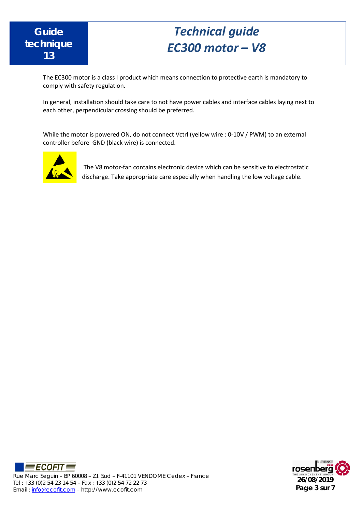

The EC300 motor is a class I product which means connection to protective earth is mandatory to comply with safety regulation.

In general, installation should take care to not have power cables and interface cables laying next to each other, perpendicular crossing should be preferred.

While the motor is powered ON, do not connect Vctrl (yellow wire : 0-10V / PWM) to an external controller before GND (black wire) is connected.



The V8 motor-fan contains electronic device which can be sensitive to electrostatic discharge. Take appropriate care especially when handling the low voltage cable.



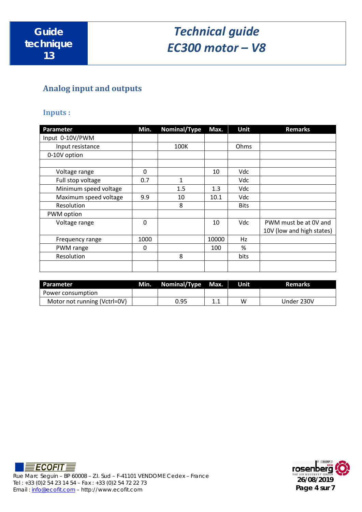## **Analog input and outputs**

### **Inputs :**

| <b>Parameter</b>      | Min.        | Nominal/Type | Max.  | Unit        | <b>Remarks</b>            |
|-----------------------|-------------|--------------|-------|-------------|---------------------------|
| Input 0-10V/PWM       |             |              |       |             |                           |
| Input resistance      |             | 100K         |       | Ohms        |                           |
| 0-10V option          |             |              |       |             |                           |
|                       |             |              |       |             |                           |
| Voltage range         | 0           |              | 10    | Vdc         |                           |
| Full stop voltage     | 0.7         | $\mathbf{1}$ |       | Vdc         |                           |
| Minimum speed voltage |             | 1.5          | 1.3   | Vdc         |                           |
| Maximum speed voltage | 9.9         | 10           | 10.1  | Vdc         |                           |
| Resolution            |             | 8            |       | <b>Bits</b> |                           |
| PWM option            |             |              |       |             |                           |
| Voltage range         | $\mathbf 0$ |              | 10    | Vdc         | PWM must be at 0V and     |
|                       |             |              |       |             | 10V (low and high states) |
| Frequency range       | 1000        |              | 10000 | Hz          |                           |
| PWM range             | 0           |              | 100   | %           |                           |
| Resolution            |             | 8            |       | bits        |                           |
|                       |             |              |       |             |                           |

| Parameter                    | Min. | Nominal/Type | Max. | Unit | <b>Remarks</b> |
|------------------------------|------|--------------|------|------|----------------|
| Power consumption            |      |              |      |      |                |
| Motor not running (Vctrl=0V) |      | 0.95         | ∸.⊥  | W    | Under 230V     |



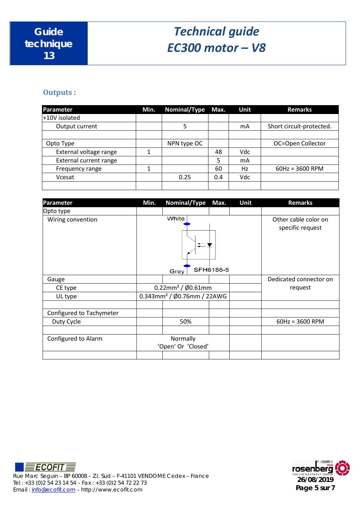### **Outputs :**

| Parameter                     | Min. | <b>Nominal/Type</b> | Max. | Unit | <b>Remarks</b>           |
|-------------------------------|------|---------------------|------|------|--------------------------|
| +10V isolated                 |      |                     |      |      |                          |
| Output current                |      | 5                   |      | mA   | Short circuit-protected. |
|                               |      |                     |      |      |                          |
| Opto Type                     |      | NPN type OC         |      |      | OC=Open Collector        |
| External voltage range        |      |                     | 48   | Vdc  |                          |
| <b>External current range</b> |      |                     | 5    | mA   |                          |
| Frequency range               |      |                     | 60   | Hz   | $60Hz = 3600$ RPM        |
| Vcesat                        |      | 0.25                | 0.4  | Vdc  |                          |
|                               |      |                     |      |      |                          |

| Parameter                | Min.               | <b>Nominal/Type</b>                       | Max.      | Unit | <b>Remarks</b>         |
|--------------------------|--------------------|-------------------------------------------|-----------|------|------------------------|
| Opto type                |                    |                                           |           |      |                        |
| Wiring convention        |                    | White                                     |           |      | Other cable color on   |
|                          |                    | Grey                                      | SFH6186-5 |      | specific request       |
| Gauge                    |                    |                                           |           |      | Dedicated connector on |
| CE type                  |                    | $0.22$ mm <sup>2</sup> / Ø0.61mm          | request   |      |                        |
| UL type                  |                    | $0.343$ mm <sup>2</sup> / Ø0.76mm / 22AWG |           |      |                        |
|                          |                    |                                           |           |      |                        |
| Configured to Tachymeter |                    |                                           |           |      |                        |
| Duty Cycle               |                    | 50%                                       |           |      | $60Hz = 3600$ RPM      |
|                          |                    |                                           |           |      |                        |
| Configured to Alarm      | Normally           |                                           |           |      |                        |
|                          | 'Open' Or 'Closed' |                                           |           |      |                        |
|                          |                    |                                           |           |      |                        |



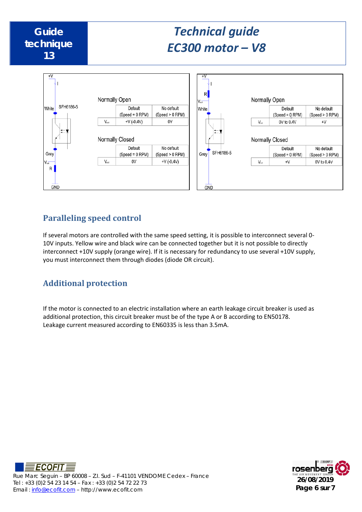

## **Paralleling speed control**

If several motors are controlled with the same speed setting, it is possible to interconnect several 0- 10V inputs. Yellow wire and black wire can be connected together but it is not possible to directly interconnect +10V supply (orange wire). If it is necessary for redundancy to use several +10V supply, you must interconnect them through diodes (diode OR circuit).

## **Additional protection**

If the motor is connected to an electric installation where an earth leakage circuit breaker is used as additional protection, this circuit breaker must be of the type A or B according to EN50178. Leakage current measured according to EN60335 is less than 3.5mA.